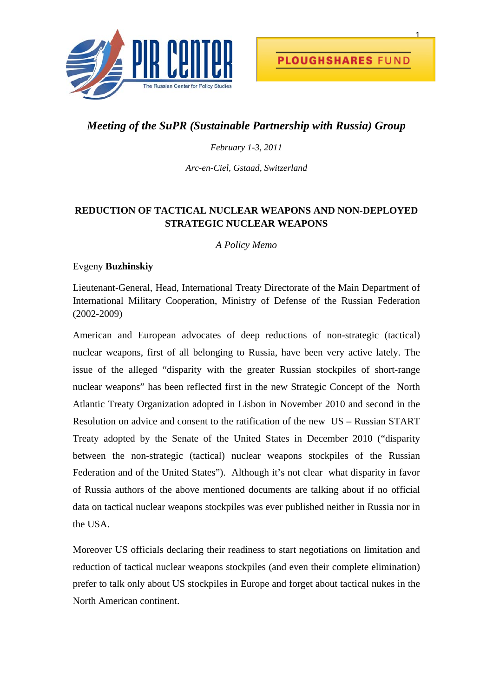

## *Meeting of the SuPR (Sustainable Partnership with Russia) Group*

## *February 1-3, 2011*

*Arc-en-Ciel, Gstaad, Switzerland* 

## **REDUCTION OF TACTICAL NUCLEAR WEAPONS AND NON-DEPLOYED STRATEGIC NUCLEAR WEAPONS**

*A Policy Memo* 

## Evgeny **Buzhinskiy**

Lieutenant-General, Head, International Treaty Directorate of the Main Department of International Military Cooperation, Ministry of Defense of the Russian Federation (2002-2009)

American and European advocates of deep reductions of non-strategic (tactical) nuclear weapons, first of all belonging to Russia, have been very active lately. The issue of the alleged "disparity with the greater Russian stockpiles of short-range nuclear weapons" has been reflected first in the new Strategic Concept of the North Atlantic Treaty Organization adopted in Lisbon in November 2010 and second in the Resolution on advice and consent to the ratification of the new US – Russian START Treaty adopted by the Senate of the United States in December 2010 ("disparity between the non-strategic (tactical) nuclear weapons stockpiles of the Russian Federation and of the United States"). Although it's not clear what disparity in favor of Russia authors of the above mentioned documents are talking about if no official data on tactical nuclear weapons stockpiles was ever published neither in Russia nor in the USA.

Moreover US officials declaring their readiness to start negotiations on limitation and reduction of tactical nuclear weapons stockpiles (and even their complete elimination) prefer to talk only about US stockpiles in Europe and forget about tactical nukes in the North American continent.

1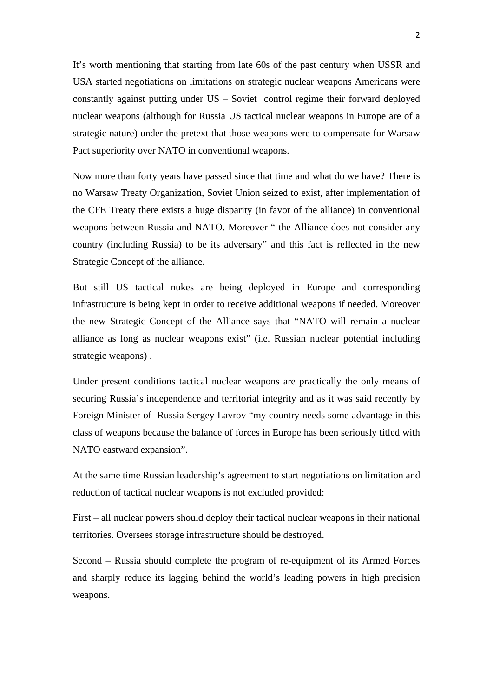It's worth mentioning that starting from late 60s of the past century when USSR and USA started negotiations on limitations on strategic nuclear weapons Americans were constantly against putting under US – Soviet control regime their forward deployed nuclear weapons (although for Russia US tactical nuclear weapons in Europe are of a strategic nature) under the pretext that those weapons were to compensate for Warsaw Pact superiority over NATO in conventional weapons.

Now more than forty years have passed since that time and what do we have? There is no Warsaw Treaty Organization, Soviet Union seized to exist, after implementation of the CFE Treaty there exists a huge disparity (in favor of the alliance) in conventional weapons between Russia and NATO. Moreover " the Alliance does not consider any country (including Russia) to be its adversary" and this fact is reflected in the new Strategic Concept of the alliance.

But still US tactical nukes are being deployed in Europe and corresponding infrastructure is being kept in order to receive additional weapons if needed. Moreover the new Strategic Concept of the Alliance says that "NATO will remain a nuclear alliance as long as nuclear weapons exist" (i.e. Russian nuclear potential including strategic weapons) .

Under present conditions tactical nuclear weapons are practically the only means of securing Russia's independence and territorial integrity and as it was said recently by Foreign Minister of Russia Sergey Lavrov "my country needs some advantage in this class of weapons because the balance of forces in Europe has been seriously titled with NATO eastward expansion".

At the same time Russian leadership's agreement to start negotiations on limitation and reduction of tactical nuclear weapons is not excluded provided:

First – all nuclear powers should deploy their tactical nuclear weapons in their national territories. Oversees storage infrastructure should be destroyed.

Second – Russia should complete the program of re-equipment of its Armed Forces and sharply reduce its lagging behind the world's leading powers in high precision weapons.